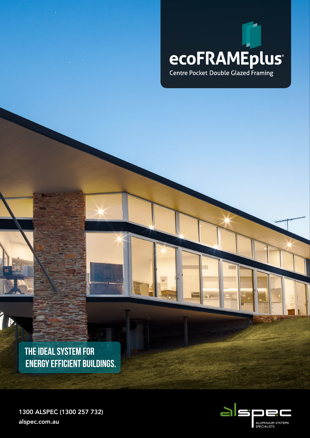

**THE IDEAL SYSTEM FOR ENERGY EFFICIENT BUILDINGS.**

b

1300 ALSPEC (1300 257 732) alspec.com.au